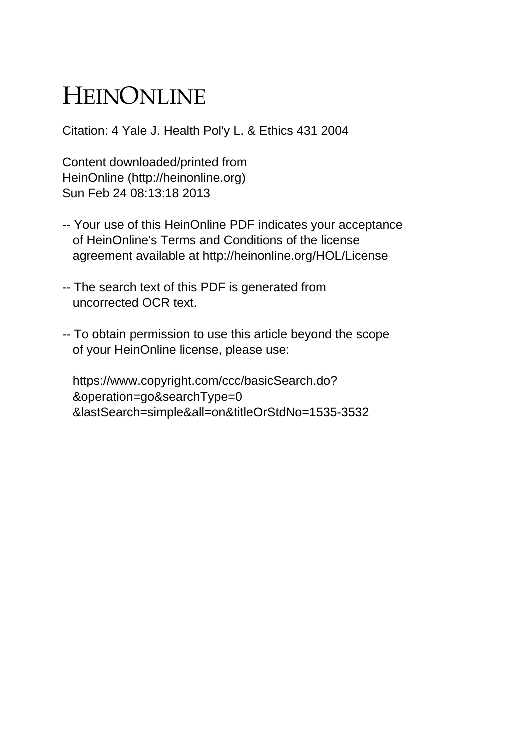# HEINONLINE

Citation: 4 Yale J. Health Pol'y L. & Ethics 431 2004

Content downloaded/printed from HeinOnline (http://heinonline.org) Sun Feb 24 08:13:18 2013

- -- Your use of this HeinOnline PDF indicates your acceptance of HeinOnline's Terms and Conditions of the license agreement available at http://heinonline.org/HOL/License
- -- The search text of this PDF is generated from uncorrected OCR text.
- -- To obtain permission to use this article beyond the scope of your HeinOnline license, please use:

 https://www.copyright.com/ccc/basicSearch.do? &operation=go&searchType=0 &lastSearch=simple&all=on&titleOrStdNo=1535-3532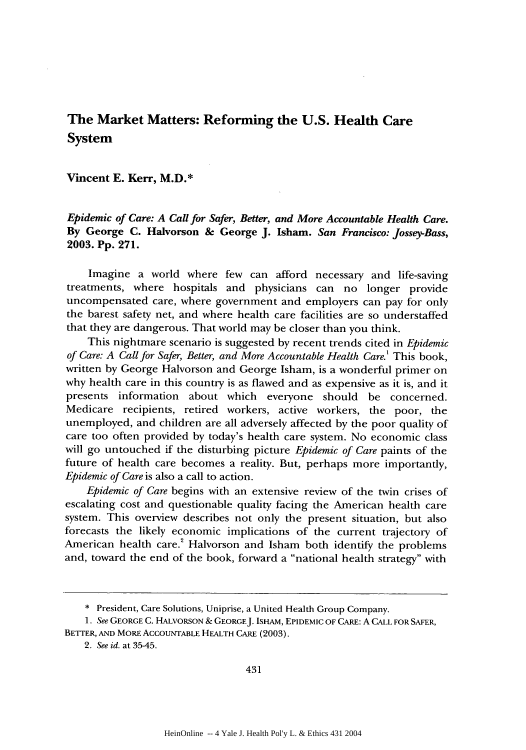# **The Market Matters: Reforming the U.S. Health Care System**

## **Vincent E. Kerr, M.D.\***

*Epidemic of Care: A Call for Safer, Better, and More Accountable Health Care.* **By George C. Halvorson & George J. Isham.** *San Francisco: Jossey-Bass,* **2003. Pp. 271.**

Imagine a world where few can afford necessary and life-saving treatments, where hospitals and physicians can no longer provide uncompensated care, where government and employers can pay for only the barest safety net, and where health care facilities are so understaffed that they are dangerous. That world may be closer than you think.

This nightmare scenario is suggested **by** recent trends cited in *Epidemic of Care: A Call for Safer, Better, and More Accountable Health Care.*<sup>1</sup> This book, written **by** George Halvorson and George Isham, is a wonderful primer on why health care in this country is as flawed and as expensive as it is, and it presents information about which everyone should be concerned. Medicare recipients, retired workers, active workers, the poor, the unemployed, and children are all adversely affected **by** the poor quality of care too often provided **by** today's health care system. No economic class will go untouched if the disturbing picture *Epidemic of Care* paints of the future of health care becomes a reality. But, perhaps more importantly, *Epidemic of Care* is also a call to action.

*Epidemic of Care* begins with an extensive review of the twin crises of escalating cost and questionable quality facing the American health care system. This overview describes not only the present situation, but also forecasts the likely economic implications of the current trajectory of American health care.<sup>2</sup> Halvorson and Isham both identify the problems and, toward the end of the book, forward a "national health strategy" with

<sup>\*</sup> President, Care Solutions, Uniprise, a United Health Group Company.

*<sup>1.</sup> See* **GEORGE** C. HALVORSON & GEORGEJ. IsHAM, EPIDEMIC OF CARE: A CALL FOR SAFER, BETTER, AND MORE ACCOUNTABLE HEALTH CARE (2003).

*<sup>2.</sup> See id.* at 3545.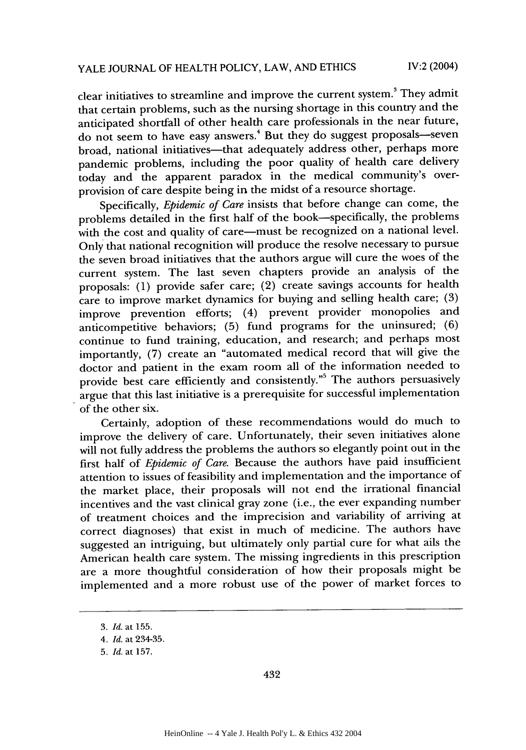clear initiatives to streamline and improve the current system.' They admit that certain problems, such as the nursing shortage in this country and the anticipated shortfall of other health care professionals in the near future,  $\frac{1}{10}$  on to have easy answers.<sup>4</sup> But they do suggest proposals—seven broad, national initiatives-that adequately address other, perhaps more pandemic problems, including the poor quality of health care delivery today and the apparent paradox in the medical community's overprovision of care despite being in the midst of a resource shortage.

Specifically, *Epidemic of Care* insists that before change can come, the problems detailed in the first half of the book-specifically, the problems with the cost and quality of care—must be recognized on a national level. Only that national recognition will produce the resolve necessary to pursue the seven broad initiatives that the authors argue will cure the woes of the current system. The last seven chapters provide an analysis of the proposals: (1) provide safer care; (2) create savings accounts for health care to improve market dynamics for buying and selling health care; (3) improve prevention efforts; (4) prevent provider monopolies and anticompetitive behaviors; (5) fund programs for the uninsured; (6) continue to fund training, education, and research; and perhaps most importantly, (7) create an "automated medical record that will give the doctor and patient in the exam room all of the information needed to provide best care efficiently and consistently."<sup>5</sup> The authors persuasively argue that this last initiative is a prerequisite for successful implementation of the other six.

Certainly, adoption of these recommendations would do much to improve the delivery of care. Unfortunately, their seven initiatives alone will not fully address the problems the authors so elegantly point out in the first half of *Epidemic of Care.* Because the authors have paid insufficient attention to issues of feasibility and implementation and the importance of the market place, their proposals will not end the irrational financial incentives and the vast clinical gray zone (i.e., the ever expanding number of treatment choices and the imprecision and variability of arriving at correct diagnoses) that exist in much of medicine. The authors have suggested an intriguing, but ultimately only partial cure for what ails the American health care system. The missing ingredients in this prescription are a more thoughtful consideration of how their proposals might be implemented and a more robust use of the power of market forces to

<sup>3.</sup> *Id.* at 155.

<sup>4.</sup> Id. at 234-35.

<sup>5.</sup> *Id.* at 157.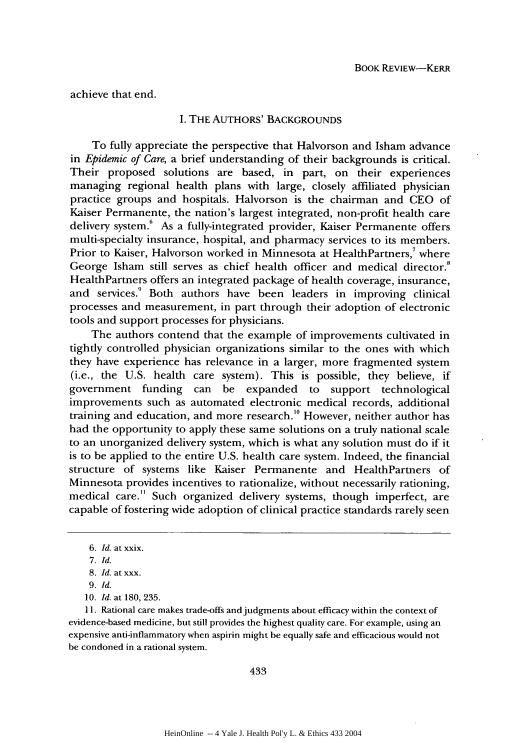achieve that end.

### I. THE AUTHORS' BACKGROUNDS

To fully appreciate the perspective that Halvorson and Isham advance in *Epidemic of Care,* a brief understanding of their backgrounds is critical. Their proposed solutions are based, in part, on their experiences managing regional health plans with large, closely affiliated physician practice groups and hospitals. Halvorson is the chairman and CEO of Kaiser Permanente, the nation's largest integrated, non-profit health care delivery system.<sup>6</sup> As a fully-integrated provider, Kaiser Permanente offers multi-specialty insurance, hospital, and pharmacy services to its members. Prior to Kaiser, Halvorson worked in Minnesota at HealthPartners,<sup>7</sup> where George Isham still serves as chief health officer and medical director.<sup>8</sup> HealthPartners offers an integrated package of health coverage, insurance, and services.<sup>9</sup> Both authors have been leaders in improving clinical processes and measurement, in part through their adoption of electronic tools and support processes for physicians.

The authors contend that the example of improvements cultivated in tightly controlled physician organizations similar to the ones with which they have experience has relevance in a larger, more fragmented system (i.e., the U.S. health care system). This is possible, they believe, if government funding can be expanded to support technological improvements such as automated electronic medical records, additional training and education, and more research.<sup>10</sup> However, neither author has had the opportunity to apply these same solutions on a truly national scale to an unorganized delivery system, which is what any solution must do if it is to be applied to the entire U.S. health care system. Indeed, the financial structure of systems like Kaiser Permanente and HealthPartners of Minnesota provides incentives to rationalize, without necessarily rationing, medical care." Such organized delivery systems, though imperfect, are capable of fostering wide adoption of clinical practice standards rarely seen

11. Rational care makes trade-offs and judgments about efficacy within the context of evidence-based medicine, but still provides the highest quality care. For example, using an expensive anti-inflammatory when aspirin might be equally safe and efficacious would not be condoned in a rational system.

*<sup>6.</sup> Id.* at xxix.

*<sup>7.</sup> Id.*

<sup>8.</sup> *Id. at* xxx.

*<sup>9.</sup> Id.*

<sup>10.</sup> *Id.* at 180, 235.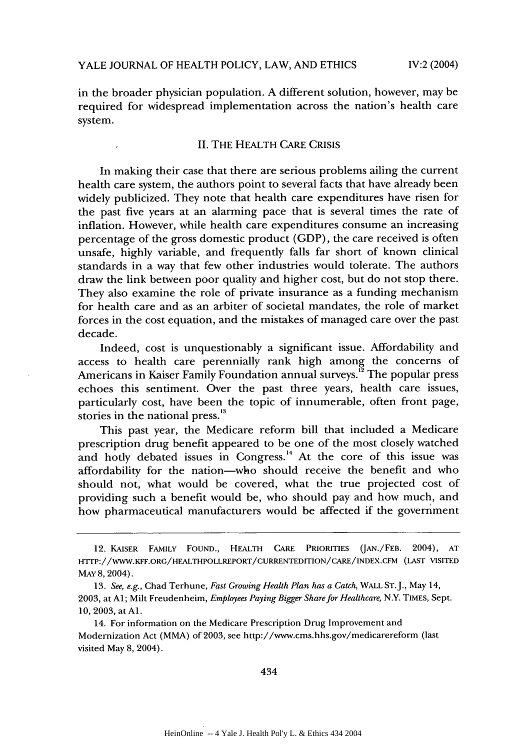in the broader physician population. A different solution, however, may be required for widespread implementation across the nation's health care system.

#### II. THE HEALTH CARE CRISIS

In making their case that there are serious problems ailing the current health care system, the authors point to several facts that have already been widely publicized. They note that health care expenditures have risen for the past five years at an alarming pace that is several times the rate of inflation. However, while health care expenditures consume an increasing percentage of the gross domestic product (GDP), the care received is often unsafe, highly variable, and frequently falls far short of known clinical standards in a way that few other industries would tolerate. The authors draw the link between poor quality and higher cost, but do not stop there. They also examine the role of private insurance as a funding mechanism for health care and as an arbiter of societal mandates, the role of market forces in the cost equation, and the mistakes of managed care over the past decade.

Indeed, cost is unquestionably a significant issue. Affordability and access to health care perennially rank high among the concerns of Americans in Kaiser Family Foundation annual surveys.<sup>12</sup> The popular press echoes this sentiment. Over the past three years, health care issues, particularly cost, have been the topic of innumerable, often front page, stories in the national press.<sup>13</sup>

This past year, the Medicare reform bill that included a Medicare prescription drug benefit appeared to be one of the most closely watched and hotly debated issues in Congress.<sup>14</sup> At the core of this issue was affordability for the nation-who should receive the benefit and who should not, what would be covered, what the true projected cost of providing such a benefit would be, who should pay and how much, and how pharmaceutical manufacturers would be affected if the government

<sup>12.</sup> KAISER FAMILY **FOUND.,** HEALTH CARE PRIORITIES **(JAN./FEB.** 2004), **AT** HTrP://WWW.KFF.ORG/HEALTHPOLLREPORT/CURRENTEDITION/CARE/INDEX.CFM **(LAST** VISITED MAY 8, 2004).

<sup>13.</sup> *See, e.g.,* Chad Terhune, *Fast Growing Health Plan has a Catch,* WALL ST.J., May 14, 2003, at **Al;** Milt Freudenheim, *Employees Paying Bigger Share for Healthcare,* N.Y. **TIMES,** Sept. 10, 2003, at **Al.**

<sup>14.</sup> For information on the Medicare Prescription Drug Improvement and Modernization Act (MMA) of 2003, see http://www.cms.hhs.gov/medicarereform (last visited May 8, 2004).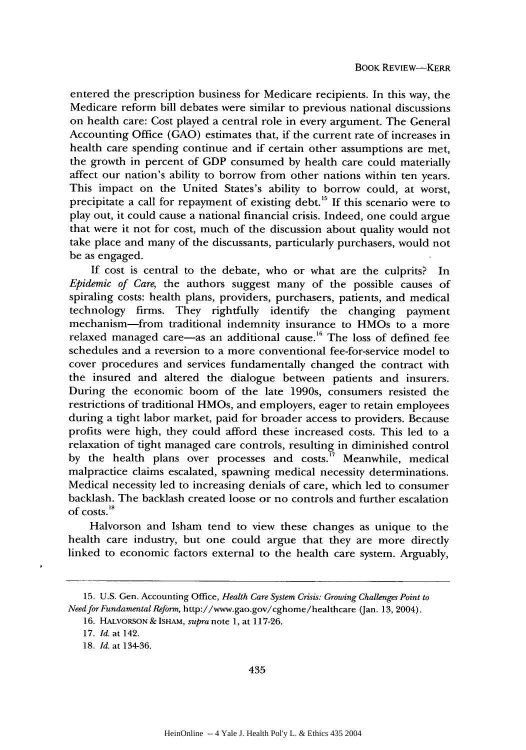entered the prescription business for Medicare recipients. In this way, the Medicare reform bill debates were similar to previous national discussions on health care: Cost played a central role in every argument. The General Accounting Office (GAO) estimates that, if the current rate of increases in health care spending continue and if certain other assumptions are met, the growth in percent of GDP consumed by health care could materially affect our nation's ability to borrow from other nations within ten years. This impact on the United States's ability to borrow could, at worst, precipitate a call for repayment of existing debt.<sup>15</sup> If this scenario were to play out, it could cause a national financial crisis. Indeed, one could argue that were it not for cost, much of the discussion about quality would not take place and many of the discussants, particularly purchasers, would not be as engaged.

If cost is central to the debate, who or what are the culprits? In *Epidemic of Care,* the authors suggest many of the possible causes of spiraling costs: health plans, providers, purchasers, patients, and medical technology firms. They rightfully identify the changing payment mechanism-from traditional indemnity insurance to HMOs to a more relaxed managed care—as an additional cause.<sup>16</sup> The loss of defined fee schedules and a reversion to a more conventional fee-for-service model to cover procedures and services fundamentally changed the contract with the insured and altered the dialogue between patients and insurers. During the economic boom of the late 1990s, consumers resisted the restrictions of traditional HMOs, and employers, eager to retain employees during a tight labor market, paid for broader access to providers. Because profits were high, they could afford these increased costs. This led to a relaxation of tight managed care controls, resulting in diminished control by the health plans over processes and costs. $^{77}$  Meanwhile, medical malpractice claims escalated, spawning medical necessity determinations. Medical necessity led to increasing denials of care, which led to consumer backlash. The backlash created loose or no controls and further escalation of costs.'

Halvorson and Isham tend to view these changes as unique to the health care industry, but one could argue that they are more directly linked to economic factors external to the health care system. Arguably,

<sup>15.</sup> U.S. Gen. Accounting Office, *Health Care System Crisis: Growing Challenges Point to Need for Fundamental Reform,* http://www.gao.gov/cghome/healthcare (Jan. 13, 2004).

<sup>16.</sup> HALVORSON *&* ISHAM, *supra* note **1,** at 117-26.

<sup>17.</sup> *Id.* at 142.

<sup>18.</sup> *Id.* at 134-36.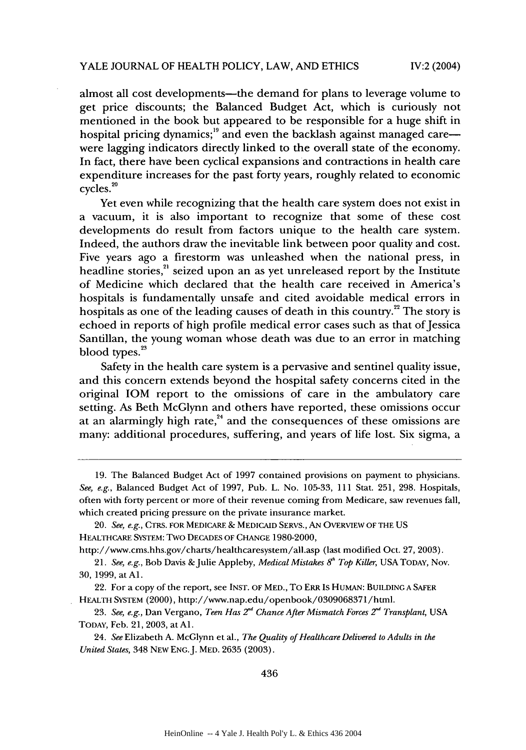IV:2 (2004)

almost all cost developments--- the demand for plans to leverage volume to get price discounts; the Balanced Budget Act, which is curiously not mentioned in the book but appeared to be responsible for a huge shift in hospital pricing dynamics;<sup>19</sup> and even the backlash against managed carewere lagging indicators directly linked to the overall state of the economy. In fact, there have been cyclical expansions and contractions in health care expenditure increases for the past forty years, roughly related to economic cycles. °

Yet even while recognizing that the health care system does not exist in a vacuum, it is also important to recognize that some of these cost developments do result from factors unique to the health care system. Indeed, the authors draw the inevitable link between poor quality and cost. Five years ago a firestorm was unleashed when the national press, in headline stories, $2^i$  seized upon an as yet unreleased report by the Institute of Medicine which declared that the health care received in America's hospitals is fundamentally unsafe and cited avoidable medical errors in hospitals as one of the leading causes of death in this country.<sup>22</sup> The story is echoed in reports of high profile medical error cases such as that of Jessica Santillan, the young woman whose death was due to an error in matching **<sup>23</sup>** blood types.

Safety in the health care system is a pervasive and sentinel quality issue, and this concern extends beyond the hospital safety concerns cited in the original IOM report to the omissions of care in the ambulatory care setting. As Beth McGlynn and others have reported, these omissions occur at an alarmingly high rate, $x^2$  and the consequences of these omissions are many: additional procedures, suffering, and years of life lost. Six sigma, a

http://www.cms.hhs.gov/charts/healthcaresystem/all.asp (last modified Oct. 27, 2003).

<sup>19.</sup> The Balanced Budget Act of 1997 contained provisions on payment to physicians. *See, e.g.,* Balanced Budget Act of 1997, Pub. L. No. 105-33, 111 Stat. 251, 298. Hospitals, often with forty percent or more of their revenue coming from Medicare, saw revenues fall, which created pricing pressure on the private insurance market.

<sup>20.</sup> *See, e.g.,* CTRS. FOR MEDICARE **&** MEDICAID SERVS., AN OVERVIEW OF THE US HEALTHCARE SYSTEM: Two DECADES OF CHANGE 1980-2000,

<sup>21.</sup> *See, e.g., Bob Davis & Julie Appleby, Medical Mistakes 8<sup>n</sup> Top Killer, USA TODAY, Nov.* 30, 1999, at **Al.**

<sup>22.</sup> For a copy of the report, see INST. OF MED., To ERR Is HUMAN: BUILDING A SAFER HEALTH SYSTEM (2000), http://www.nap.edu/openbook/0309068371/html.

<sup>23.</sup> *See, e.g.,* Dan Vergano, *Teen Has 2nd Chance After Mismatch Forces 2d Transplant,* USA TODAY, Feb. 21, 2003, at **Al.**

<sup>24.</sup> *See* Elizabeth A. McGlynn et al., *The Quality of Healthcare Delivered to Adults in the United States,* 348 NEW **ENG.J.** MED. 2635 (2003).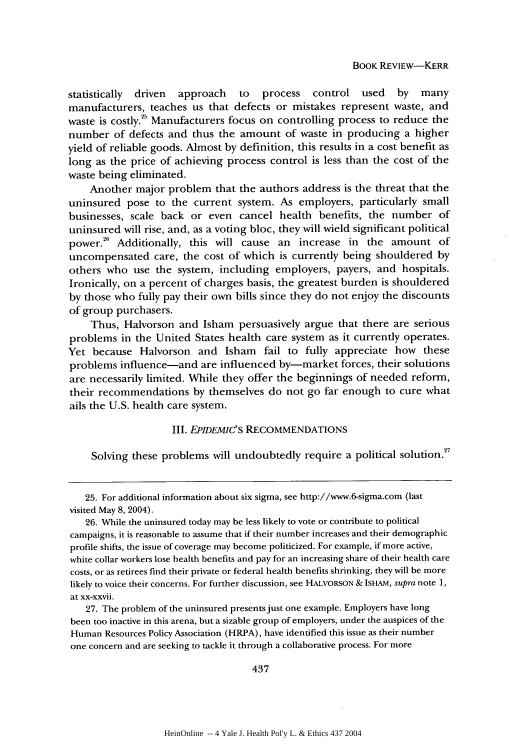statistically driven approach to process control used by many manufacturers, teaches us that defects or mistakes represent waste, and waste is costly.<sup>25</sup> Manufacturers focus on controlling process to reduce the number of defects and thus the amount of waste in producing a higher yield of reliable goods. Almost by definition, this results in a cost benefit as long as the price of achieving process control is less than the cost of the waste being eliminated.

Another major problem that the authors address is the threat that the uninsured pose to the current system. As employers, particularly small businesses, scale back or even cancel health benefits, the number of uninsured will rise, and, as a voting bloc, they will wield significant political power.<sup>26</sup> Additionally, this will cause an increase in the amount of uncompensated care, the cost of which is currently being shouldered by others who use the system, including employers, payers, and hospitals. Ironically, on a percent of charges basis, the greatest burden is shouldered by those who fully pay their own bills since they do not enjoy the discounts of group purchasers.

Thus, Halvorson and Isham persuasively argue that there are serious problems in the United States health care system as it currently operates. Yet because Halvorson and Isham fail to fully appreciate how these problems influence—and are influenced by—market forces, their solutions are necessarily limited. While they offer the beginnings of needed reform, their recommendations by themselves do not go far enough to cure what ails the U.S. health care system.

#### III. *EPIDEMIC'S* RECOMMENDATIONS

Solving these problems will undoubtedly require a political solution.<sup>27</sup>

27. The problem of the uninsured presents just one example. Employers have long been too inactive in this arena, but a sizable group of employers, under the auspices of the Human Resources Policy Association (HRPA), have identified this issue as their number one concern and are seeking to tackle it through a collaborative process. For more

<sup>25.</sup> For additional information about six sigma, see http://www.6-sigma.com (last visited May 8, 2004).

<sup>26.</sup> While the uninsured today may be less likely to vote or contribute to political campaigns, it is reasonable to assume that if their number increases and their demographic profile shifts, the issue of coverage may become politicized. For example, if more active, white collar workers lose health benefits and pay for an increasing share of their health care costs, or as retirees find their private or federal health benefits shrinking, they will be more likely to voice their concerns. For further discussion, see HALVORSON & ISHAM, *supra* note 1, at xx-xxvii.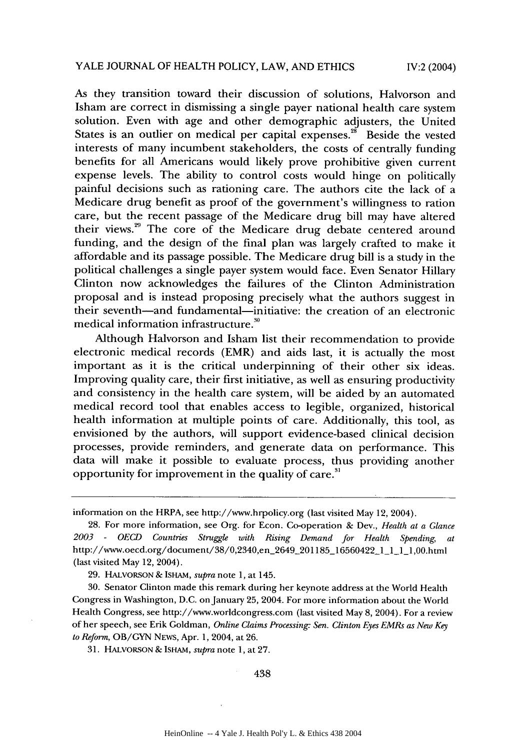As they transition toward their discussion of solutions, Halvorson and Isham are correct in dismissing a single payer national health care system solution. Even with age and other demographic adjusters, the United States is an outlier on medical per capital expenses.<sup>28</sup> Beside the vested interests of many incumbent stakeholders, the costs of centrally funding benefits for all Americans would likely prove prohibitive given current expense levels. The ability to control costs would hinge on politically painful decisions such as rationing care. The authors cite the lack of a Medicare drug benefit as proof of the government's willingness to ration care, but the recent passage of the Medicare drug bill may have altered their views.<sup>29</sup> The core of the Medicare drug debate centered around funding, and the design of the final plan was largely crafted to make it affordable and its passage possible. The Medicare drug bill is a study in the political challenges a single payer system would face. Even Senator Hillary Clinton now acknowledges the failures of the Clinton Administration proposal and is instead proposing precisely what the authors suggest in their seventh-and fundamental-initiative: the creation of an electronic medical information infrastructure.<sup>30</sup>

Although Halvorson and Isham list their recommendation to provide electronic medical records (EMR) and aids last, it is actually the most important as it is the critical underpinning of their other six ideas. Improving quality care, their first initiative, as well as ensuring productivity and consistency in the health care system, will be aided by an automated medical record tool that enables access to legible, organized, historical health information at multiple points of care. Additionally, this tool, as envisioned by the authors, will support evidence-based clinical decision processes, provide reminders, and generate data on performance. This data will make it possible to evaluate process, thus providing another opportunity for improvement in the quality of care.<sup>31</sup>

28. For more information, see Org. for Econ. Co-operation & Dev., *Health at a Glance 2003* - *OECD Countries Struggle with Rising Demand for Health Spending, at* http://www.oecd.org/document/38/0,2340,en\_2649\_201185\_16560422\_1\_1\_11\_,00.html (last visited May 12, 2004).

29. HALVORSON & ISHAM, *supra* note 1, at 145.

30. Senator Clinton made this remark during her keynote address at the World Health Congress in Washington, D.C. on January 25, 2004. For more information about the World Health Congress, see http://www.worldcongress.com (last visited May 8, 2004). For a review of her speech, see Erik Goldman, *Online Claims Processing: Sen. Clinton Eyes EMRs as New Key to Reform,* OB/GYN **NEWS,** Apr. **1,** 2004, at 26.

31. HALVORSON & ISHAM, *supra* note 1, at 27.

information on the HRPA, see http://www.hrpolicy.org (last visited May 12, 2004).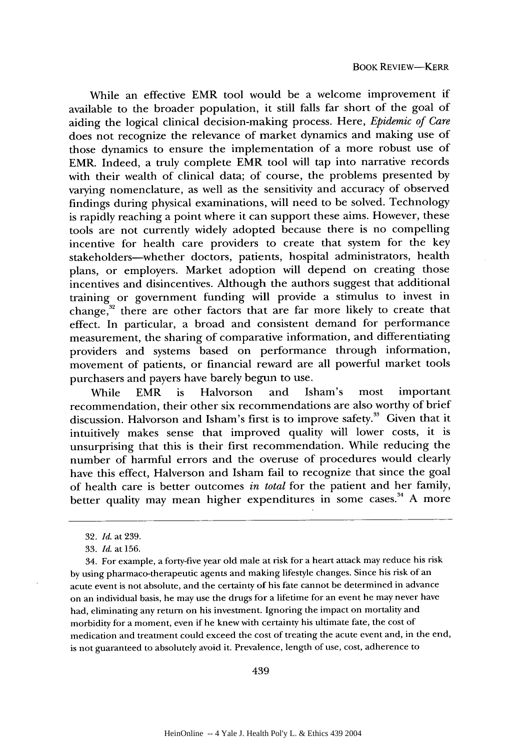While an effective EMR tool would be a welcome improvement if available to the broader population, it still falls far short of the goal of aiding the logical clinical decision-making process. Here, *Epidemic of Care* does not recognize the relevance of market dynamics and making use of those dynamics to ensure the implementation of a more robust use of EMR. Indeed, a truly complete EMR tool will tap into narrative records with their wealth of clinical data; of course, the problems presented by varying nomenclature, as well as the sensitivity and accuracy of observed findings during physical examinations, will need to be solved. Technology is rapidly reaching a point where it can support these aims. However, these tools are not currently widely adopted because there is no compelling incentive for health care providers to create that system for the key stakeholders-whether doctors, patients, hospital administrators, health plans, or employers. Market adoption will depend on creating those incentives and disincentives. Although the authors suggest that additional training or government funding will provide a stimulus to invest in change,<sup>32</sup> there are other factors that are far more likely to create that effect. In particular, a broad and consistent demand for performance measurement, the sharing of comparative information, and differentiating providers and systems based on performance through information, movement of patients, or financial reward are all powerful market tools purchasers and payers have barely begun to use.

While EMR is Halvorson and Isham's most important recommendation, their other six recommendations are also worthy of brief discussion. Halvorson and Isham's first is to improve safety.<sup>33</sup> Given that it intuitively makes sense that improved quality will lower costs, it is unsurprising that this is their first recommendation. While reducing the number of harmful errors and the overuse of procedures would clearly have this effect, Halverson and Isham fail to recognize that since the goal of health care is better outcomes *in total* for the patient and her family, better quality may mean higher expenditures in some cases.<sup>34</sup> A more

34. For example, a forty-five year old male at risk for a heart attack may reduce his risk by using pharmaco-therapeutic agents and making lifestyle changes. Since his risk of an acute event is not absolute, and the certainty of his fate cannot be determined in advance on an individual basis, he may use the drugs for a lifetime for an event he may never have had, eliminating any return on his investment. Ignoring the impact on mortality and morbidity for a moment, even if he knew with certainty his ultimate fate, the cost of medication and treatment could exceed the cost of treating the acute event and, in the end, is not guaranteed to absolutely avoid it. Prevalence, length of use, cost, adherence to

<sup>32.</sup> *Id.* at 239.

<sup>33.</sup> *Id.* at 156.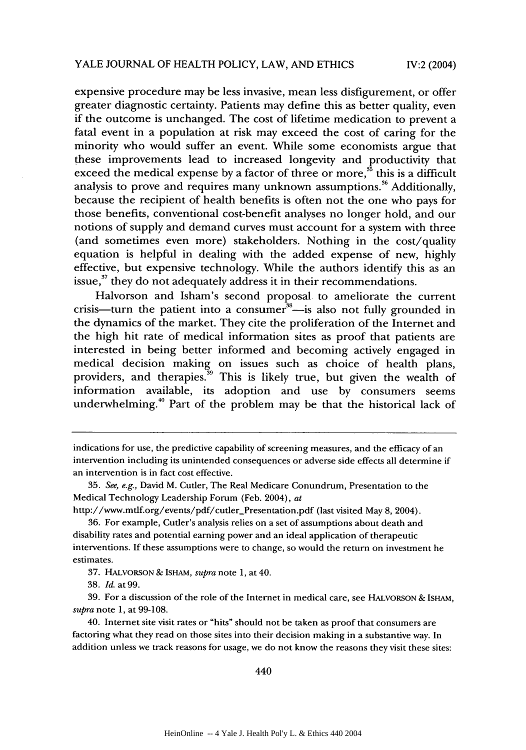expensive procedure may be less invasive, mean less disfigurement, or offer greater diagnostic certainty. Patients may define this as better quality, even if the outcome is unchanged. The cost of lifetime medication to prevent a fatal event in a population at risk may exceed the cost of caring for the minority who would suffer an event. While some economists argue that these improvements lead to increased longevity and productivity that exceed the medical expense by a factor of three or more, $\mathbf{35}$  this is a difficult analysis to prove and requires many unknown assumptions.<sup>36</sup> Additionally, because the recipient of health benefits is often not the one who pays for those benefits, conventional cost-benefit analyses no longer hold, and our notions of supply and demand curves must account for a system with three (and sometimes even more) stakeholders. Nothing in the cost/quality equation is helpful in dealing with the added expense of new, highly effective, but expensive technology. While the authors identify this as an issue, $37$  they do not adequately address it in their recommendations.

Halvorson and Isham's second proposal to ameliorate the current crisis—turn the patient into a consumer<sup>38</sup>—is also not fully grounded in the dynamics of the market. They cite the proliferation of the Internet and the high hit rate of medical information sites as proof that patients are interested in being better informed and becoming actively engaged in medical decision making on issues such as choice of health plans, providers, and therapies.  $\frac{39}{2}$  This is likely true, but given the wealth of information available, its adoption and use by consumers seems underwhelming.<sup>40</sup> Part of the problem may be that the historical lack of

indications for use, the predictive capability of screening measures, and the efficacy of an intervention including its unintended consequences or adverse side effects all determine if an intervention is in fact cost effective.

<sup>35.</sup> *See, e.g.,* David M. Cutler, The Real Medicare Conundrum, Presentation to the Medical Technology Leadership Forum (Feb. 2004), at

http://www.mtlf.org/events/pdf/cutler\_Presentation.pdf (last visited May 8, 2004).

<sup>36.</sup> For example, Cutler's analysis relies on a set of assumptions about death and disability rates and potential earning power and an ideal application of therapeutic interventions. If these assumptions were to change, so would the return on investment he estimates.

<sup>37.</sup> HALVORSON & ISHAM, *supra* note 1, at 40.

<sup>38.</sup> *Id.* at 99.

<sup>39.</sup> For a discussion of the role of the Internet in medical care, see HALVORSON & ISHAM, *supra* note 1, at 99-108.

<sup>40.</sup> Internet site visit rates or "hits" should not be taken as proof that consumers are factoring what they read on those sites into their decision making in a substantive way. In addition unless we track reasons for usage, we do not know the reasons they visit these sites: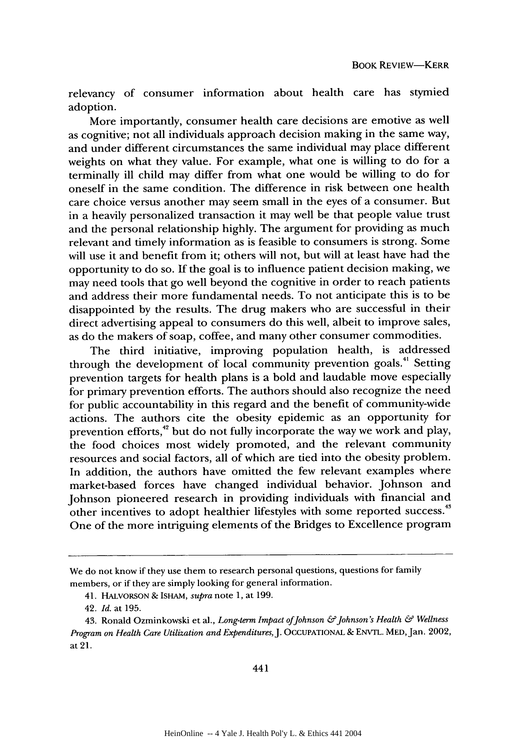relevancy of consumer information about health care has stymied adoption.

More importantly, consumer health care decisions are emotive as well as cognitive; not all individuals approach decision making in the same way, and under different circumstances the same individual may place different weights on what they value. For example, what one is willing to do for a terminally ill child may differ from what one would be willing to do for oneself in the same condition. The difference in risk between one health care choice versus another may seem small in the eyes of a consumer. But in a heavily personalized transaction it may well be that people value trust and the personal relationship highly. The argument for providing as much relevant and timely information as is feasible to consumers is strong. Some will use it and benefit from it; others will not, but will at least have had the opportunity to do so. If the goal is to influence patient decision making, we may need tools that go well beyond the cognitive in order to reach patients and address their more fundamental needs. To not anticipate this is to be disappointed by the results. The drug makers who are successful in their direct advertising appeal to consumers do this well, albeit to improve sales, as do the makers of soap, coffee, and many other consumer commodities.

The third initiative, improving population health, is addressed through the development of local community prevention goals.<sup>41</sup> Setting prevention targets for health plans is a bold and laudable move especially for primary prevention efforts. The authors should also recognize the need for public accountability in this regard and the benefit of community-wide actions. The authors cite the obesity epidemic as an opportunity for prevention efforts,<sup>42</sup> but do not fully incorporate the way we work and play, the food choices most widely promoted, and the relevant community resources and social factors, all of which are tied into the obesity problem. In addition, the authors have omitted the few relevant examples where market-based forces have changed individual behavior. Johnson and Johnson pioneered research in providing individuals with financial and other incentives to adopt healthier lifestyles with some reported success.<sup>43</sup> One of the more intriguing elements of the Bridges to Excellence program

We do not know if they use them to research personal questions, questions for family members, or if they are simply looking for general information.

<sup>41.</sup> HALVORSON & ISHAM, *supra* note 1, at 199.

<sup>42.</sup> *Id.* at 195.

<sup>43.</sup> Ronald Ozminkowski et al., *Long-term Impact of Johnson & Johnson's Health & Wellness Program on Health Care Utilization and Expenditures,* J. **OCCUPATIONAL &** ENVTL. MED, Jan. 2002, at 21.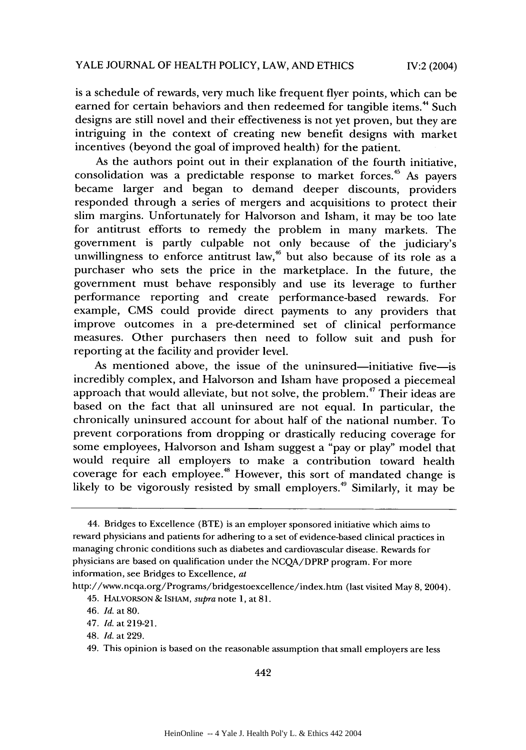is a schedule of rewards, very much like frequent flyer points, which can be earned for certain behaviors and then redeemed for tangible items.<sup>44</sup> Such designs are still novel and their effectiveness is not yet proven, but they are intriguing in the context of creating new benefit designs with market incentives (beyond the goal of improved health) for the patient.

As the authors point out in their explanation of the fourth initiative, consolidation was a predictable response to market forces.<sup>45</sup> As payers became larger and began to demand deeper discounts, providers responded through a series of mergers and acquisitions to protect their slim margins. Unfortunately for Halvorson and Isham, it may be too late for antitrust efforts to remedy the problem in many markets. The government is partly culpable not only because of the judiciary's unwillingness to enforce antitrust law,<sup>46</sup> but also because of its role as a purchaser who sets the price in the marketplace. In the future, the government must behave responsibly and use its leverage to further performance reporting and create performance-based rewards. For example, CMS could provide direct payments to any providers that improve outcomes in a pre-determined set of clinical performance measures. Other purchasers then need to follow suit and push for reporting at the facility and provider level.

As mentioned above, the issue of the uninsured-initiative five-is incredibly complex, and Halvorson and Isham have proposed a piecemeal approach that would alleviate, but not solve, the problem.<sup>47</sup> Their ideas are based on the fact that all uninsured are not equal. In particular, the chronically uninsured account for about half of the national number. To prevent corporations from dropping or drastically reducing coverage for some employees, Halvorson and Isham suggest a "pay or play" model that would require all employers to make a contribution toward health coverage for each employee. 48 However, this sort of mandated change is likely to be vigorously resisted by small employers.<sup>49</sup> Similarly, it may be

http://www.ncqa.org/Programs/bridgestoexcellence/index.htm (last visited May 8, 2004).

<sup>44.</sup> Bridges to Excellence (BTE) is an employer sponsored initiative which aims to reward physicians and patients for adhering to a set of evidence-based clinical practices in managing chronic conditions such as diabetes and cardiovascular disease. Rewards for physicians are based on qualification under the NCQA/DPRP program. For more information, see Bridges to Excellence, at

<sup>45.</sup> HALvORSON & ISHAM, *supra* note 1, at 81.

<sup>46.</sup> *Id.* at 80.

<sup>47.</sup> Id. at 219-21.

<sup>48.</sup> Id. at 229.

<sup>49.</sup> This opinion is based on the reasonable assumption that small employers are less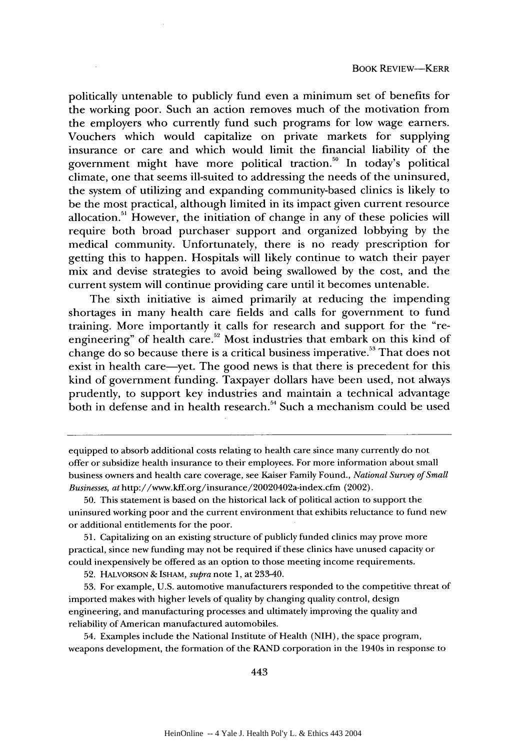politically untenable to publicly fund even a minimum set of benefits for the working poor. Such an action removes much of the motivation from the employers who currently fund such programs for low wage earners. Vouchers which would capitalize on private markets for supplying insurance or care and which would limit the financial liability of the government might have more political traction.<sup>50</sup> In today's political climate, one that seems ill-suited to addressing the needs of the uninsured, the system of utilizing and expanding community-based clinics is likely to be the most practical, although limited in its impact given current resource allocation.<sup>51</sup> However, the initiation of change in any of these policies will require both broad purchaser support and organized lobbying by the medical community. Unfortunately, there is no ready prescription for getting this to happen. Hospitals will likely continue to watch their payer mix and devise strategies to avoid being swallowed by the cost, and the current system will continue providing care until it becomes untenable.

The sixth initiative is aimed primarily at reducing the impending shortages in many health care fields and calls for government to fund training. More importantly it calls for research and support for the "reengineering" of health care.<sup>52</sup> Most industries that embark on this kind of change do so because there is a critical business imperative.<sup>53</sup> That does not exist in health care—yet. The good news is that there is precedent for this kind of government funding. Taxpayer dollars have been used, not always prudently, to support key industries and maintain a technical advantage both in defense and in health research.<sup>54</sup> Such a mechanism could be used

51. Capitalizing on an existing structure of publicly funded clinics may prove more practical, since new funding may not be required if these clinics have unused capacity or could inexpensively be offered as an option to those meeting income requirements.

52. HALvORSON & ISHAM, *supra* note 1, at 233-40.

53. For example, U.S. automotive manufacturers responded to the competitive threat of imported makes with higher levels of quality by changing quality control, design engineering, and manufacturing processes and ultimately improving the quality and reliability of American manufactured automobiles.

54. Examples include the National Institute of Health (NIH), the space program, weapons development, the formation of the RAND corporation in the 1940s in response to

equipped to absorb additional costs relating to health care since many currently do not offer or subsidize health insurance to their employees. For more information about small business owners and health care coverage, see Kaiser Family Found., *National Survey of Small Businesses, at* http://www.kff.org/insurance/20020402a-index.cfm (2002).

**<sup>50.</sup>** This statement is based on the historical lack of political action to support the uninsured working poor and the current environment that exhibits reluctance to fund new or additional entitlements for the poor.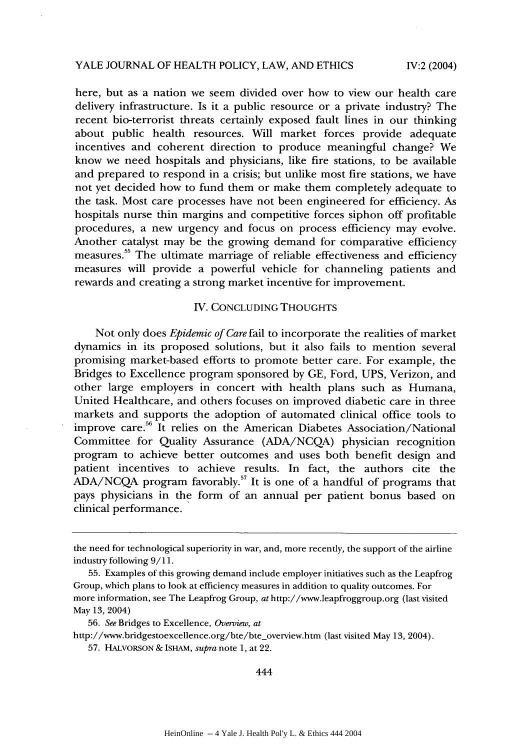#### YALE JOURNAL OF HEALTH POLICY, LAW, AND ETHICS

IV:2 (2004)

here, but as a nation we seem divided over how to view our health care delivery infrastructure. Is it a public resource or a private industry? The recent bio-terrorist threats certainly exposed fault lines in our thinking about public health resources. Will market forces provide adequate incentives and coherent direction to produce meaningful change? We know we need hospitals and physicians, like fire stations, to be available and prepared to respond in a crisis; but unlike most fire stations, we have not yet decided how to fund them or make them completely adequate to the task. Most care processes have not been engineered for efficiency. As hospitals nurse thin margins and competitive forces siphon off profitable procedures, a new urgency and focus on process efficiency may evolve. Another catalyst may be the growing demand for comparative efficiency measures.<sup>55</sup> The ultimate marriage of reliable effectiveness and efficiency measures will provide a powerful vehicle for channeling patients and rewards and creating a strong market incentive for improvement.

#### IV. CONCLUDING THOUGHTS

Not only does *Epidemic of Care* fail to incorporate the realities of market dynamics in its proposed solutions, but it also fails to mention several promising market-based efforts to promote better care. For example, the Bridges to Excellence program sponsored by GE, Ford, UPS, Verizon, and other large employers in concert with health plans such as Humana, United Healthcare, and others focuses on improved diabetic care in three markets and supports the adoption of automated clinical office tools to improve care.<sup>56</sup> It relies on the American Diabetes Association/National Committee for Quality Assurance (ADA/NCQA) physician recognition program to achieve better outcomes and uses both benefit design and patient incentives to achieve results. In fact, the authors cite the  $ADA/NCQA$  program favorably.<sup>57</sup> It is one of a handful of programs that pays physicians in the form of an annual per patient bonus based on clinical performance.

http://www.bridgestoexcellence.org/bte/bte\_overview.htm (last visited May 13, 2004).

the need for technological superiority in war, and, more recently, the support of the airline industry following 9/11.

<sup>55.</sup> Examples of this growing demand include employer initiatives such as the Leapfrog Group, which plans to look at efficiency measures in addition to quality outcomes. For more information, see The Leapfrog Group, at http://www.leapfroggroup.org (last visited May 13, 2004)

<sup>56.</sup> *See* Bridges to Excellence, *Overview, at*

<sup>57.</sup> HALVORSON **&** ISHAM, *supra* note 1, at 22.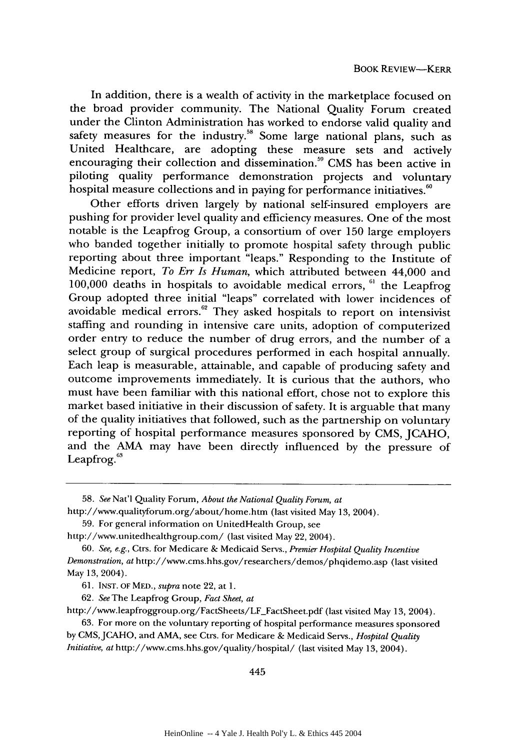In addition, there is a wealth of activity in the marketplace focused on the broad provider community. The National Quality Forum created under the Clinton Administration has worked to endorse valid quality and safety measures for the industry.<sup>58</sup> Some large national plans, such as United Healthcare, are adopting these measure sets and actively encouraging their collection and dissemination.<sup>59</sup> CMS has been active in piloting quality performance demonstration projects and voluntary hospital measure collections and in paying for performance initiatives.<sup>60</sup>

Other efforts driven largely by national self-insured employers are pushing for provider level quality and efficiency measures. One of the most notable is the Leapfrog Group, a consortium of over 150 large employers who banded together initially to promote hospital safety through public reporting about three important "leaps." Responding to the Institute of Medicine report, *To Err Is Human,* which attributed between 44,000 and 100,000 deaths in hospitals to avoidable medical errors,  $61$  the Leapfrog Group adopted three initial "leaps" correlated with lower incidences of avoidable medical errors.<sup>62</sup> They asked hospitals to report on intensivist staffing and rounding in intensive care units, adoption of computerized order entry to reduce the number of drug errors, and the number of a select group of surgical procedures performed in each hospital annually. Each leap is measurable, attainable, and capable of producing safety and outcome improvements immediately. It is curious that the authors, who must have been familiar with this national effort, chose not to explore this market based initiative in their discussion of safety. It is arguable that many of the quality initiatives that followed, such as the partnership on voluntary reporting of hospital performance measures sponsored by CMS, JCAHO, and the AMA may have been directly influenced by the pressure of Leapfrog. $63$ 

http://www.leapfroggroup.org/FactSheets/LF\_FactSheet.pdf (last visited May 13, 2004).

63. For more on the voluntary reporting of hospital performance measures sponsored by CMS, JCAHO, and AMA, see Ctrs. for Medicare & Medicaid Servs., *Hospital Quality Initiative, at* http://www.cms.hhs.gov/quality/hospital/ (last visited May 13, 2004).

<sup>58.</sup> *See* Nat'l Quality Forum, *About the National Quality Forum, at* http://www.qualityforum.org/about/home.htm (last visited May 13, 2004).

<sup>59.</sup> For general information on UnitedHealth Group, see

http://www.unitedhealthgroup.com/ (last visited May 22, 2004).

<sup>60.</sup> *See, e.g.,* Ctrs. for Medicare & Medicaid Servs., *Premier Hospital Quality Incentive Demonstration, at* http://www.cms.hhs.gov/researchers/demos/phqidemo.asp (last visited May 13, 2004).

<sup>61.</sup> **INST.** OF MED., *supra* note 22, at 1.

<sup>62.</sup> *See* The Leapfrog Group, *Fact Sheet, at*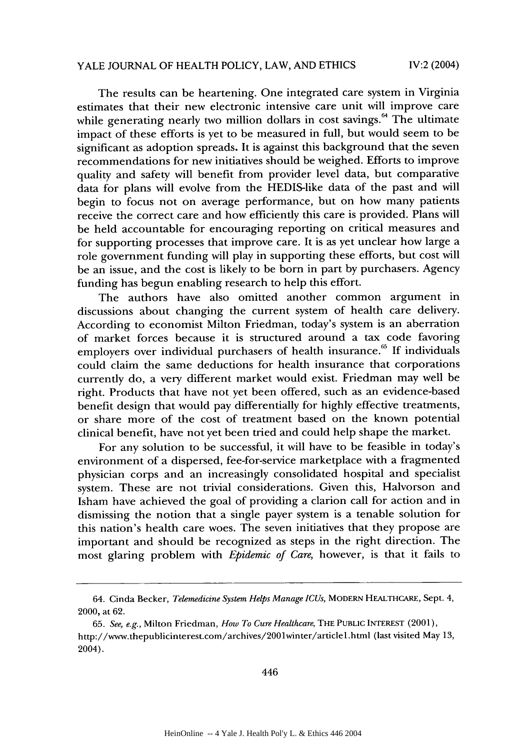The results can be heartening. One integrated care system in Virginia estimates that their new electronic intensive care unit will improve care while generating nearly two million dollars in cost savings.<sup>64</sup> The ultimate impact of these efforts is yet to be measured in full, but would seem to be significant as adoption spreads. It is against this background that the seven recommendations for new initiatives should be weighed. Efforts to improve quality and safety will benefit from provider level data, but comparative data for plans will evolve from the HEDIS-like data of the past and will begin to focus not on average performance, but on how many patients receive the correct care and how efficiently this care is provided. Plans will be held accountable for encouraging reporting on critical measures and for supporting processes that improve care. It is as yet unclear how large a role government funding will play in supporting these efforts, but cost will be an issue, and the cost is likely to be born in part by purchasers. Agency funding has begun enabling research to help this effort.

The authors have also omitted another common argument in discussions about changing the current system of health care delivery. According to economist Milton Friedman, today's system is an aberration of market forces because it is structured around a tax code favoring employers over individual purchasers of health insurance.<sup>65</sup> If individuals could claim the same deductions for health insurance that corporations currently do, a very different market would exist. Friedman may well be right. Products that have not yet been offered, such as an evidence-based benefit design that would pay differentially for highly effective treatments, or share more of the cost of treatment based on the known potential clinical benefit, have not yet been tried and could help shape the market.

For any solution to be successful, it will have to be feasible in today's environment of a dispersed, fee-for-service marketplace with a fragmented physician corps and an increasingly consolidated hospital and specialist system. These are not trivial considerations. Given this, Halvorson and Isham have achieved the goal of providing a clarion call for action and in dismissing the notion that a single payer system is a tenable solution for this nation's health care woes. The seven initiatives that they propose are important and should be recognized as steps in the right direction. The most glaring problem with *Epidemic of Care,* however, is that it fails to

<sup>64.</sup> Cinda Becker, *Telemedicine System Helps Manage ICUs,* MODERN HEALTHCARE, Sept. 4, 2000, at 62.

<sup>65.</sup> *See, e.g.,* Milton Friedman, *How To Cure Healthcare,* THE PUBLIC INTEREST (2001), http://www.thepublicinterest.com/archives/2001winter/article1.html (last visited May 13, 2004).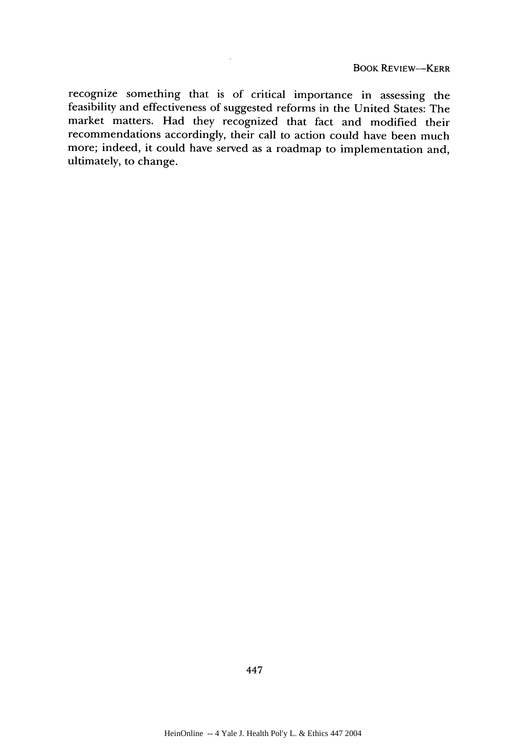recognize something that is of critical importance in assessing the feasibility and effectiveness of suggested reforms in the United States: The market matters. Had they recognized that fact and modified their recommendations accordingly, their call to action could have been much more; indeed, it could have served as a roadmap to implementation and, ultimately, to change.